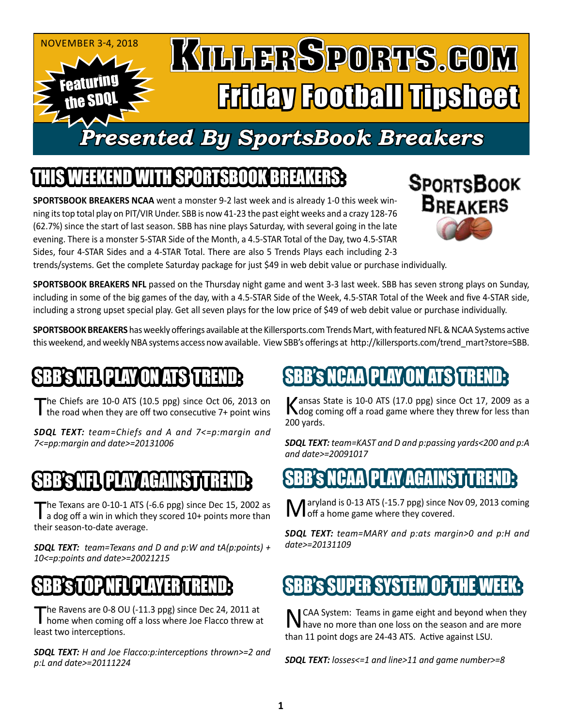

## WITH SPORTSBOOK BR

**SPORTSBOOK BREAKERS NCAA** went a monster 9-2 last week and is already 1-0 this week winning its top total play on PIT/VIR Under. SBB is now 41-23 the past eight weeks and a crazy 128-76 (62.7%) since the start of last season. SBB has nine plays Saturday, with several going in the late evening. There is a monster 5-STAR Side of the Month, a 4.5-STAR Total of the Day, two 4.5-STAR Sides, four 4-STAR Sides and a 4-STAR Total. There are also 5 Trends Plays each including 2-3



trends/systems. Get the complete Saturday package for just \$49 in web debit value or purchase individually.

**SPORTSBOOK BREAKERS NFL** passed on the Thursday night game and went 3-3 last week. SBB has seven strong plays on Sunday, including in some of the big games of the day, with a 4.5-STAR Side of the Week, 4.5-STAR Total of the Week and five 4-STAR side, including a strong upset special play. Get all seven plays for the low price of \$49 of web debit value or purchase individually.

**SPORTSBOOK BREAKERS** has weekly offerings available at the Killersports.com Trends Mart, with featured NFL & NCAA Systems active this weekend, and weekly NBA systems access now available. View SBB's offerings at http://killersports.com/trend\_mart?store=SBB.

### NFLI PLAY ON AT

The Chiefs are 10-0 ATS (10.5 ppg) since Oct 06, 2013 on the road when they are off two consecutive 7+ point wins

*SDQL TEXT: team=Chiefs and A and 7<=p:margin and 7<=pp:margin and date>=20131006*

### B'S NFL PLAY AGAINST

The Texans are 0-10-1 ATS (-6.6 ppg) since Dec 15, 2002 as<br>a dog off a win in which they scored 10+ points more than their season-to-date average.

*SDQL TEXT: team=Texans and D and p:W and tA(p:points) + 10<=p:points and date>=20021215*

### SBB'S TOP NEUPLAYER TREND

The Ravens are 0-8 OU (-11.3 ppg) since Dec 24, 2011 at home when coming off a loss where Joe Flacco threw at least two interceptions.

*SDQL TEXT: H and Joe Flacco:p:interceptions thrown>=2 and p:L and date>=20111224*

## 'S NCAA\PLAY ON ATS\

Kansas State is 10-0 ATS (17.0 ppg) since Oct 17, 2009 as a<br>
Mog coming off a road game where they threw for less than 200 yards.

*SDQL TEXT: team=KAST and D and p:passing yards<200 and p:A and date>=20091017*

### AGAINST N

aryland is 0-13 ATS (-15.7 ppg) since Nov 09, 2013 coming **IVI** off a home game where they covered.

*SDQL TEXT: team=MARY and p:ats margin>0 and p:H and date>=20131109*

### **SBB's SUPER SYSTEM OF THE W**

NCAA System: Teams in game eight and beyond when they have no more than one loss on the season and are more than 11 point dogs are 24-43 ATS. Active against LSU.

*SDQL TEXT: losses<=1 and line>11 and game number>=8*